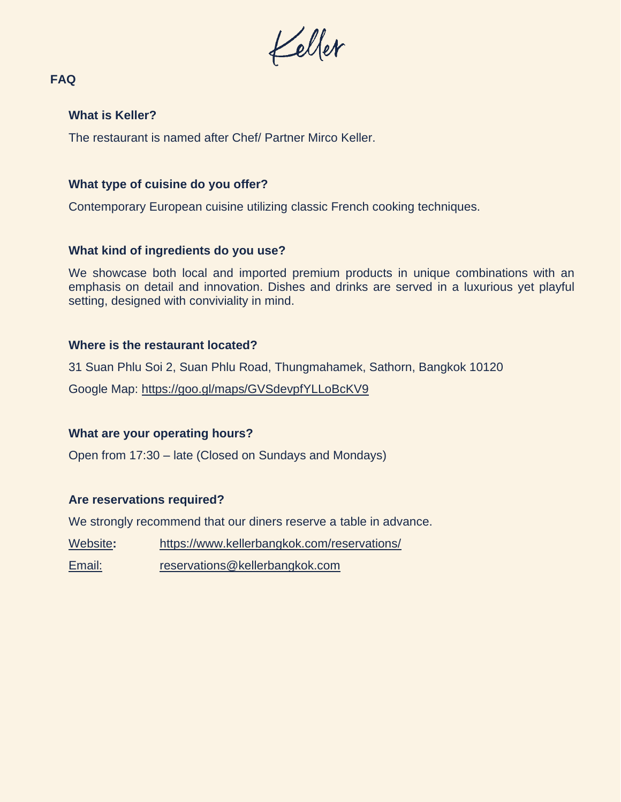Keller

# **FAQ**

## **What is Keller?**

The restaurant is named after Chef/ Partner Mirco Keller.

## **What type of cuisine do you offer?**

Contemporary European cuisine utilizing classic French cooking techniques.

# **What kind of ingredients do you use?**

We showcase both local and imported premium products in unique combinations with an emphasis on detail and innovation. Dishes and drinks are served in a luxurious yet playful setting, designed with conviviality in mind.

## **Where is the restaurant located?**

31 Suan Phlu Soi 2, Suan Phlu Road, Thungmahamek, Sathorn, Bangkok 10120

Google Map:<https://goo.gl/maps/GVSdevpfYLLoBcKV9>

# **What are your operating hours?**

Open from 17:30 – late (Closed on Sundays and Mondays)

# **Are reservations required?**

We strongly recommend that our diners reserve a table in advance.

- Website**:** <https://www.kellerbangkok.com/reservations/>
- Email: [reservations@kellerbangkok.com](mailto:reservations@kellerbangkok.com)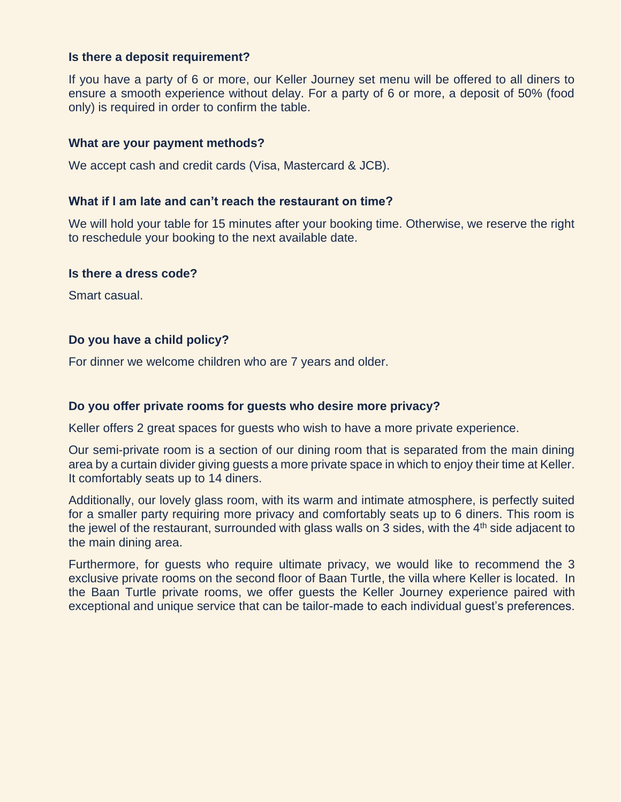## **Is there a deposit requirement?**

If you have a party of 6 or more, our Keller Journey set menu will be offered to all diners to ensure a smooth experience without delay. For a party of 6 or more, a deposit of 50% (food only) is required in order to confirm the table.

### **What are your payment methods?**

We accept cash and credit cards (Visa, Mastercard & JCB).

## **What if I am late and can't reach the restaurant on time?**

We will hold your table for 15 minutes after your booking time. Otherwise, we reserve the right to reschedule your booking to the next available date.

#### **Is there a dress code?**

Smart casual.

## **Do you have a child policy?**

For dinner we welcome children who are 7 years and older.

#### **Do you offer private rooms for guests who desire more privacy?**

Keller offers 2 great spaces for guests who wish to have a more private experience.

Our semi-private room is a section of our dining room that is separated from the main dining area by a curtain divider giving guests a more private space in which to enjoy their time at Keller. It comfortably seats up to 14 diners.

Additionally, our lovely glass room, with its warm and intimate atmosphere, is perfectly suited for a smaller party requiring more privacy and comfortably seats up to 6 diners. This room is the jewel of the restaurant, surrounded with glass walls on 3 sides, with the  $4<sup>th</sup>$  side adjacent to the main dining area.

Furthermore, for guests who require ultimate privacy, we would like to recommend the 3 exclusive private rooms on the second floor of Baan Turtle, the villa where Keller is located. In the Baan Turtle private rooms, we offer guests the Keller Journey experience paired with exceptional and unique service that can be tailor-made to each individual guest's preferences.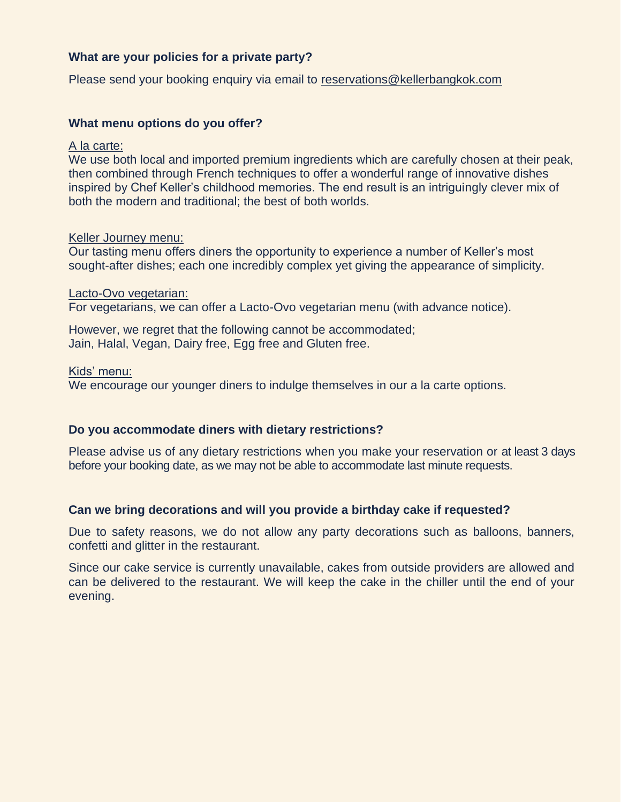# **What are your policies for a private party?**

Please send your booking enquiry via email t[o reservations@kellerbangkok.com](mailto:reservations@kellerbangkok.com)

### **What menu options do you offer?**

A la carte:

We use both local and imported premium ingredients which are carefully chosen at their peak, then combined through French techniques to offer a wonderful range of innovative dishes inspired by Chef Keller's childhood memories. The end result is an intriguingly clever mix of both the modern and traditional; the best of both worlds.

#### Keller Journey menu:

Our tasting menu offers diners the opportunity to experience a number of Keller's most sought-after dishes; each one incredibly complex yet giving the appearance of simplicity.

#### Lacto-Ovo vegetarian:

For vegetarians, we can offer a Lacto-Ovo vegetarian menu (with advance notice).

However, we regret that the following cannot be accommodated; Jain, Halal, Vegan, Dairy free, Egg free and Gluten free.

Kids' menu:

We encourage our younger diners to indulge themselves in our a la carte options.

#### **Do you accommodate diners with dietary restrictions?**

Please advise us of any dietary restrictions when you make your reservation or at least 3 days before your booking date, as we may not be able to accommodate last minute requests.

# **Can we bring decorations and will you provide a birthday cake if requested?**

Due to safety reasons, we do not allow any party decorations such as balloons, banners, confetti and glitter in the restaurant.

Since our cake service is currently unavailable, cakes from outside providers are allowed and can be delivered to the restaurant. We will keep the cake in the chiller until the end of your evening.